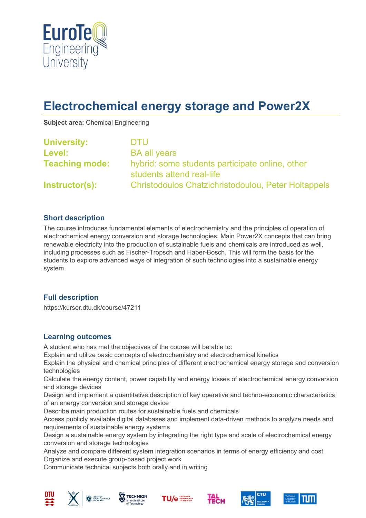

# **Electrochemical energy storage and Power2X**

**Subject area:** Chemical Engineering

| <b>University:</b>    | <b>DTU</b>                                                                   |
|-----------------------|------------------------------------------------------------------------------|
| Level:                | <b>BA all years</b>                                                          |
| <b>Teaching mode:</b> | hybrid: some students participate online, other<br>students attend real-life |
| Instructor(s):        | Christodoulos Chatzichristodoulou, Peter Holtappels                          |

### **Short description**

The course introduces fundamental elements of electrochemistry and the principles of operation of electrochemical energy conversion and storage technologies. Main Power2X concepts that can bring renewable electricity into the production of sustainable fuels and chemicals are introduced as well, including processes such as Fischer-Tropsch and Haber-Bosch. This will form the basis for the students to explore advanced ways of integration of such technologies into a sustainable energy system.

### **Full description**

https://kurser.dtu.dk/course/47211

### **Learning outcomes**

A student who has met the objectives of the course will be able to:

Explain and utilize basic concepts of electrochemistry and electrochemical kinetics

Explain the physical and chemical principles of different electrochemical energy storage and conversion technologies

Calculate the energy content, power capability and energy losses of electrochemical energy conversion and storage devices

Design and implement a quantitative description of key operative and techno-economic characteristics of an energy conversion and storage device

Describe main production routes for sustainable fuels and chemicals

Access publicly available digital databases and implement data-driven methods to analyze needs and requirements of sustainable energy systems

Design a sustainable energy system by integrating the right type and scale of electrochemical energy conversion and storage technologies

Analyze and compare different system integration scenarios in terms of energy efficiency and cost Organize and execute group-based project work

Communicate technical subjects both orally and in writing











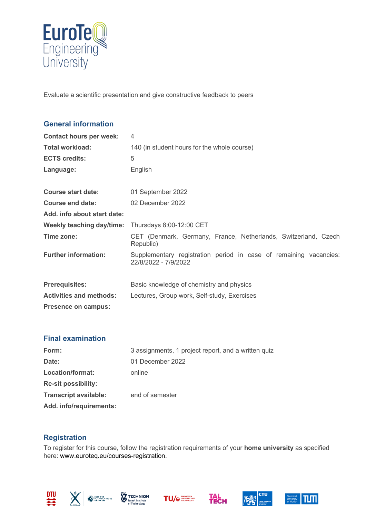

Evaluate a scientific presentation and give constructive feedback to peers

# **General information Contact hours per week:** 4 **Total workload:** 140 (in student hours for the whole course) **ECTS credits:** 5 Language: English **Course start date:** 01 September 2022 **Course end date:** 02 December 2022 **Add. info about start date: Weekly teaching day/time:** Thursdays 8:00-12:00 CET **Time zone:** CET (Denmark, Germany, France, Netherlands, Switzerland, Czech Republic) **Further information:** Supplementary registration period in case of remaining vacancies: 22/8/2022 - 7/9/2022 **Prerequisites:** Basic knowledge of chemistry and physics **Activities and methods:** Lectures, Group work, Self-study, Exercises **Presence on campus:**

### **Final examination**

| Form:                        | 3 assignments, 1 project report, and a written quized |  |
|------------------------------|-------------------------------------------------------|--|
| Date:                        | 01 December 2022                                      |  |
| Location/format:             | online                                                |  |
| <b>Re-sit possibility:</b>   |                                                       |  |
| <b>Transcript available:</b> | end of semester                                       |  |
| Add. info/requirements:      |                                                       |  |

## **Registration**

To register for this course, follow the registration requirements of your **home university** as specified here: [www.euroteq.eu/courses-registration.](http://www.euroteq.eu/courses-registration)